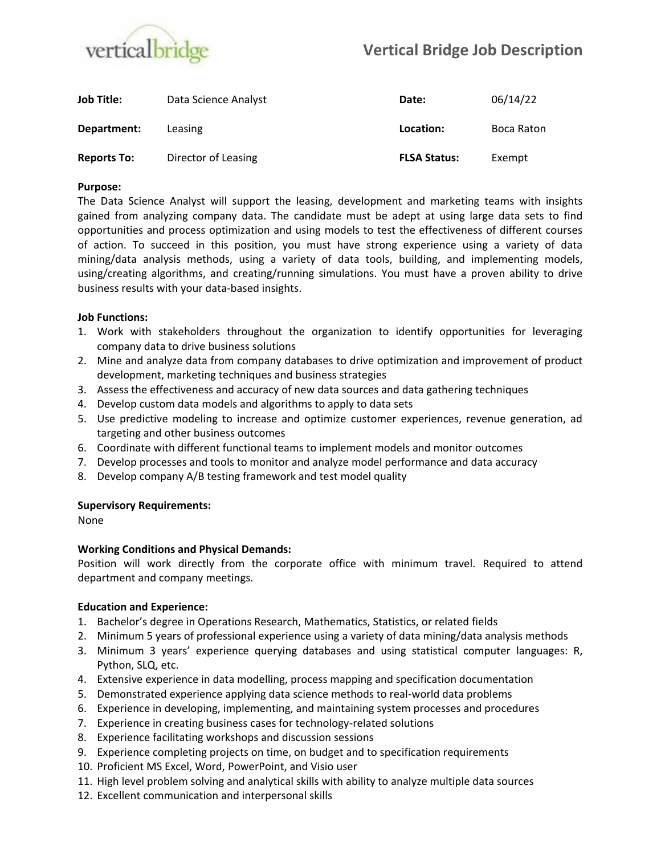

| Job Title:         | Data Science Analyst | Date:               | 06/14/22   |
|--------------------|----------------------|---------------------|------------|
| Department:        | Leasing              | Location:           | Boca Raton |
| <b>Reports To:</b> | Director of Leasing  | <b>FLSA Status:</b> | Exempt     |

### **Purpose:**

The Data Science Analyst will support the leasing, development and marketing teams with insights gained from analyzing company data. The candidate must be adept at using large data sets to find opportunities and process optimization and using models to test the effectiveness of different courses of action. To succeed in this position, you must have strong experience using a variety of data mining/data analysis methods, using a variety of data tools, building, and implementing models, using/creating algorithms, and creating/running simulations. You must have a proven ability to drive business results with your data-based insights.

### **Job Functions:**

- 1. Work with stakeholders throughout the organization to identify opportunities for leveraging company data to drive business solutions
- 2. Mine and analyze data from company databases to drive optimization and improvement of product development, marketing techniques and business strategies
- 3. Assess the effectiveness and accuracy of new data sources and data gathering techniques
- 4. Develop custom data models and algorithms to apply to data sets
- 5. Use predictive modeling to increase and optimize customer experiences, revenue generation, ad targeting and other business outcomes
- 6. Coordinate with different functional teams to implement models and monitor outcomes
- 7. Develop processes and tools to monitor and analyze model performance and data accuracy
- 8. Develop company A/B testing framework and test model quality

# **Supervisory Requirements:**

None

# **Working Conditions and Physical Demands:**

Position will work directly from the corporate office with minimum travel. Required to attend department and company meetings.

#### **Education and Experience:**

- 1. Bachelor's degree in Operations Research, Mathematics, Statistics, or related fields
- 2. Minimum 5 years of professional experience using a variety of data mining/data analysis methods
- 3. Minimum 3 years' experience querying databases and using statistical computer languages: R, Python, SLQ, etc.
- 4. Extensive experience in data modelling, process mapping and specification documentation
- 5. Demonstrated experience applying data science methods to real-world data problems
- 6. Experience in developing, implementing, and maintaining system processes and procedures
- 7. Experience in creating business cases for technology-related solutions
- 8. Experience facilitating workshops and discussion sessions
- 9. Experience completing projects on time, on budget and to specification requirements
- 10. Proficient MS Excel, Word, PowerPoint, and Visio user
- 11. High level problem solving and analytical skills with ability to analyze multiple data sources
- 12. Excellent communication and interpersonal skills